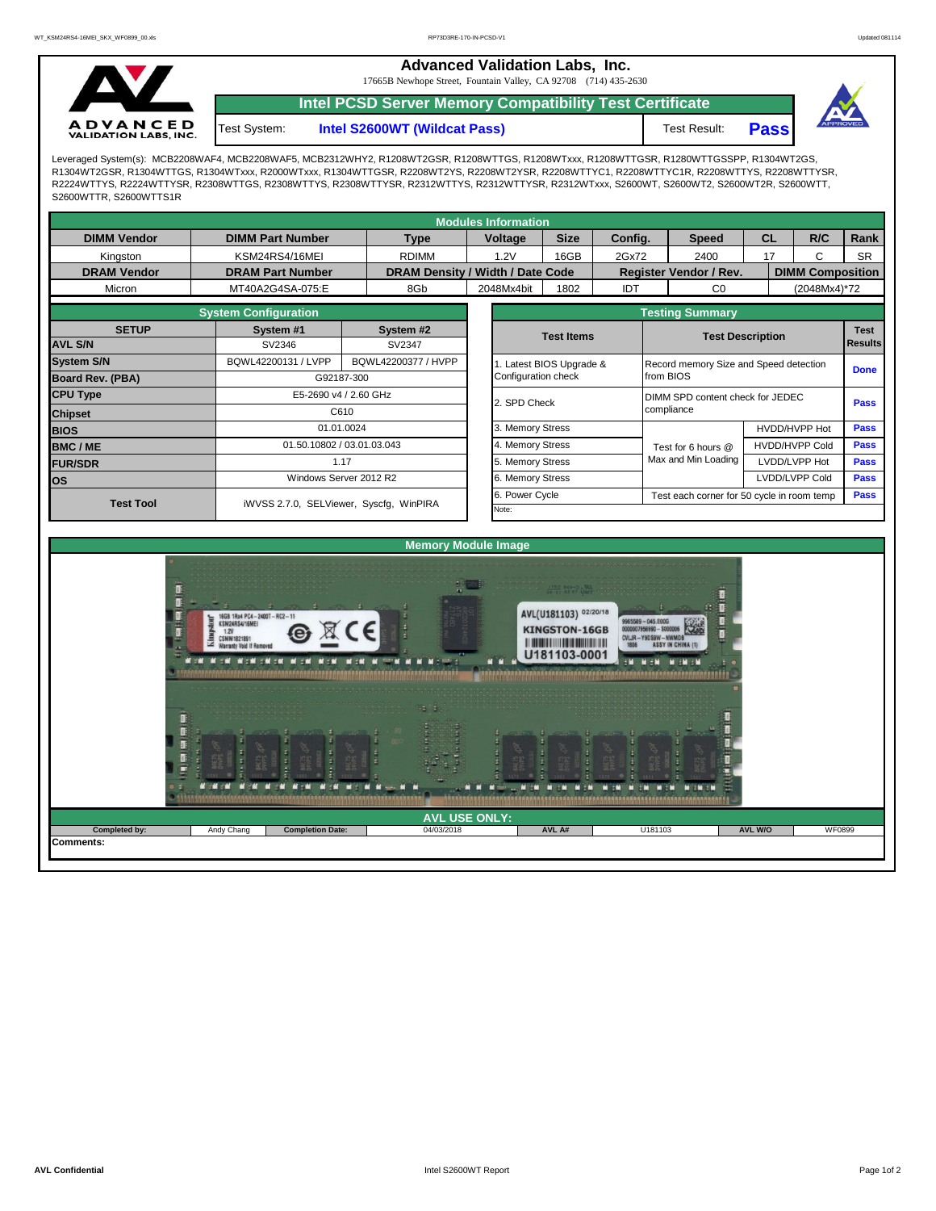**Advanced Validation Labs, Inc.** 

17665B Newhope Street, Fountain Valley, CA 92708 (714) 435-2630



**Intel PCSD Server Memory Compatibility Test Certificate**

**Intel S2600WT (Wildcat Pass)** Test Result: **Pass** Test System:



Leveraged System(s): MCB2208WAF4, MCB2208WAF5, MCB2312WHY2, R1208WT2GSR, R1208WTTGS, R1208WTxxx, R1208WTTGSR, R1280WTTGSSPP, R1304WT2GS, R1304WT2GSR, R1304WTTGS, R1304WTxxx, R2000WTxxx, R1304WTTGSR, R2208WT2YS, R2208WT2YSR, R2208WTTYC1, R2208WTTYC1R, R2208WTTYS, R2208WTTYSR, R2224WTTYS, R2224WTTYSR, R2308WTTGS, R2308WTTYS, R2308WTTYSR, R2312WTTYS, R2312WTTYSR, R2312WTxxx, S2600WT, S2600WT2, S2600WT2R, S2600WTT, S2600WTTR, S2600WTTS1R

| <b>Modules Information</b> |                             |                                         |                   |                                  |                         |                                                           |                                           |                       |                         |             |  |  |  |
|----------------------------|-----------------------------|-----------------------------------------|-------------------|----------------------------------|-------------------------|-----------------------------------------------------------|-------------------------------------------|-----------------------|-------------------------|-------------|--|--|--|
| <b>DIMM Vendor</b>         | <b>DIMM Part Number</b>     | <b>Type</b>                             |                   | <b>Voltage</b>                   | <b>Size</b>             | Config.                                                   | <b>Speed</b>                              | CL                    | R/C                     | Rank        |  |  |  |
| Kingston                   | KSM24RS4/16MEI              | <b>RDIMM</b>                            |                   | 1.2V                             | 16GB                    | 2Gx72                                                     | 2400                                      | 17                    | C                       | <b>SR</b>   |  |  |  |
| <b>DRAM Vendor</b>         | <b>DRAM Part Number</b>     |                                         |                   | DRAM Density / Width / Date Code |                         |                                                           | <b>Register Vendor / Rev.</b>             |                       | <b>DIMM Composition</b> |             |  |  |  |
| Micron                     | MT40A2G4SA-075:E            | 8Gb                                     |                   | 2048Mx4bit                       | 1802                    | IDT                                                       | C <sub>0</sub>                            |                       | (2048Mx4)*72            |             |  |  |  |
|                            | <b>System Configuration</b> |                                         |                   |                                  |                         | <b>Testing Summary</b>                                    |                                           |                       |                         |             |  |  |  |
| <b>SETUP</b>               | System #1                   | System #2                               | <b>Test Items</b> |                                  |                         |                                                           |                                           |                       | <b>Test</b>             |             |  |  |  |
| <b>AVL S/N</b>             | SV2346                      | SV2347                                  |                   |                                  |                         |                                                           | <b>Test Description</b><br><b>Results</b> |                       |                         |             |  |  |  |
| <b>System S/N</b>          | BQWL42200131 / LVPP         | BQWL42200377 / HVPP                     |                   |                                  | . Latest BIOS Upgrade & |                                                           | Record memory Size and Speed detection    |                       |                         |             |  |  |  |
| <b>Board Rev. (PBA)</b>    |                             | G92187-300                              |                   |                                  | Configuration check     |                                                           | from BIOS                                 |                       |                         |             |  |  |  |
| <b>CPU Type</b>            | E5-2690 v4 / 2.60 GHz       |                                         | 2. SPD Check      |                                  |                         | DIMM SPD content check for JEDEC                          |                                           |                       |                         |             |  |  |  |
| <b>Chipset</b>             | C610                        |                                         |                   |                                  |                         | compliance                                                |                                           | <b>Pass</b>           |                         |             |  |  |  |
| <b>BIOS</b>                |                             | 01.01.0024                              |                   | 3. Memory Stress                 |                         |                                                           |                                           | HVDD/HVPP Hot         | <b>Pass</b>             |             |  |  |  |
| <b>BMC/ME</b>              |                             | 01.50.10802 / 03.01.03.043              | 4. Memory Stress  |                                  |                         |                                                           | Test for 6 hours @                        | <b>HVDD/HVPP Cold</b> |                         | <b>Pass</b> |  |  |  |
| <b>FUR/SDR</b>             | 1.17                        |                                         | 5. Memory Stress  |                                  |                         | Max and Min Loading                                       |                                           | LVDD/LVPP Hot         |                         |             |  |  |  |
| <b>los</b>                 |                             | Windows Server 2012 R2                  |                   | 6. Memory Stress                 |                         |                                                           |                                           |                       | LVDD/LVPP Cold          | <b>Pass</b> |  |  |  |
| <b>Test Tool</b>           |                             | iWVSS 2.7.0, SELViewer, Syscfq, WinPIRA |                   |                                  |                         | Power Cycle<br>Test each corner for 50 cycle in room temp |                                           |                       |                         |             |  |  |  |
|                            |                             |                                         |                   | Note:                            |                         |                                                           |                                           |                       |                         |             |  |  |  |